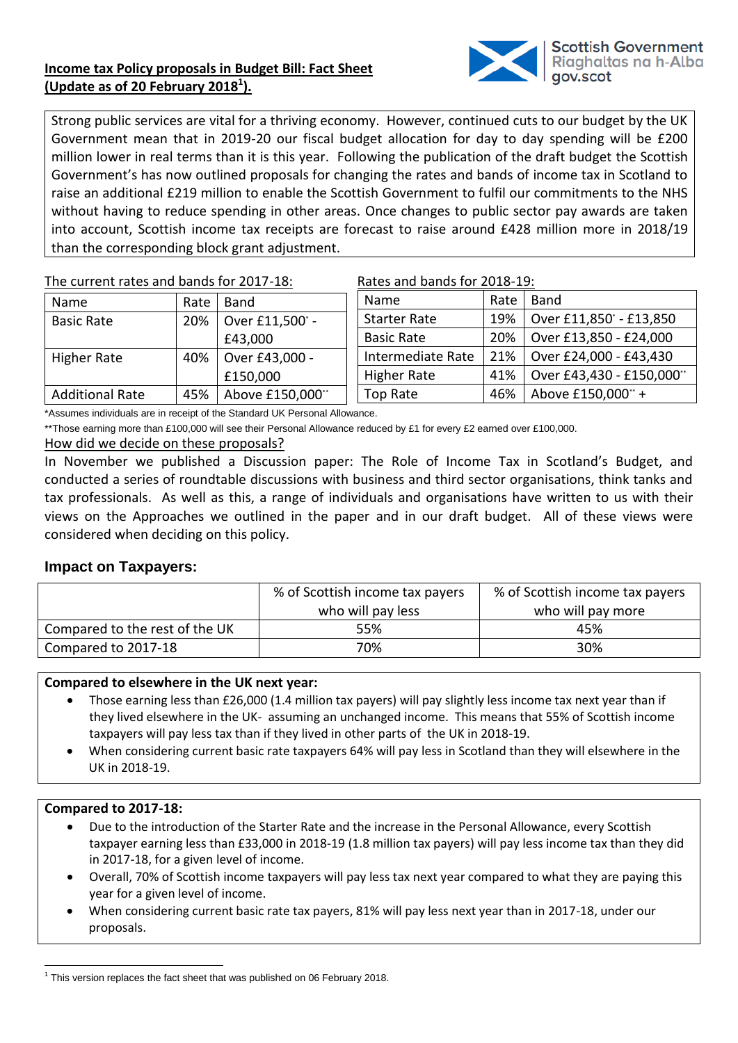# **Income tax Policy proposals in Budget Bill: Fact Sheet (Update as of 20 February 2018<sup>1</sup> ).**



Strong public services are vital for a thriving economy. However, continued cuts to our budget by the UK Government mean that in 2019-20 our fiscal budget allocation for day to day spending will be £200 million lower in real terms than it is this year. Following the publication of the draft budget the Scottish Government's has now outlined proposals for changing the rates and bands of income tax in Scotland to raise an additional £219 million to enable the Scottish Government to fulfil our commitments to the NHS without having to reduce spending in other areas. Once changes to public sector pay awards are taken into account, Scottish income tax receipts are forecast to raise around £428 million more in 2018/19 than the corresponding block grant adjustment.

The current rates and bands for 2017-18:

| Name                   | Rate | Band             |  |
|------------------------|------|------------------|--|
| <b>Basic Rate</b>      | 20%  | Over £11,500° -  |  |
|                        |      | £43,000          |  |
| <b>Higher Rate</b>     | 40%  | Over £43,000 -   |  |
|                        |      | £150,000         |  |
| <b>Additional Rate</b> | 45%  | Above £150,000** |  |

| Rates and bands for 2018-19: |
|------------------------------|
|------------------------------|

|  | Name                | Rate | Band                     |
|--|---------------------|------|--------------------------|
|  | <b>Starter Rate</b> | 19%  | Over £11,850' - £13,850  |
|  | <b>Basic Rate</b>   | 20%  | Over £13,850 - £24,000   |
|  | Intermediate Rate   | 21%  | Over £24,000 - £43,430   |
|  | <b>Higher Rate</b>  | 41%  | Over £43,430 - £150,000" |
|  | <b>Top Rate</b>     | 46%  | Above £150,000** +       |

\*Assumes individuals are in receipt of the Standard UK Personal Allowance.

\*\*Those earning more than £100,000 will see their Personal Allowance reduced by £1 for every £2 earned over £100,000.

## How did we decide on these proposals?

In November we published a Discussion paper: The Role of Income Tax in Scotland's Budget, and conducted a series of roundtable discussions with business and third sector organisations, think tanks and tax professionals. As well as this, a range of individuals and organisations have written to us with their views on the Approaches we outlined in the paper and in our draft budget. All of these views were considered when deciding on this policy.

## **Impact on Taxpayers:**

|                                | % of Scottish income tax payers<br>who will pay less | % of Scottish income tax payers<br>who will pay more |
|--------------------------------|------------------------------------------------------|------------------------------------------------------|
| Compared to the rest of the UK | 55%                                                  | 45%                                                  |
| Compared to 2017-18            | 70%                                                  | 30%                                                  |

## **Compared to elsewhere in the UK next year:**

- Those earning less than £26,000 (1.4 million tax payers) will pay slightly less income tax next year than if they lived elsewhere in the UK- assuming an unchanged income. This means that 55% of Scottish income taxpayers will pay less tax than if they lived in other parts of the UK in 2018-19.
- When considering current basic rate taxpayers 64% will pay less in Scotland than they will elsewhere in the UK in 2018-19.

## **Compared to 2017-18:**

- Due to the introduction of the Starter Rate and the increase in the Personal Allowance, every Scottish taxpayer earning less than £33,000 in 2018-19 (1.8 million tax payers) will pay less income tax than they did in 2017-18, for a given level of income.
- Overall, 70% of Scottish income taxpayers will pay less tax next year compared to what they are paying this year for a given level of income.
- When considering current basic rate tax payers, 81% will pay less next year than in 2017-18, under our proposals.

<sup>1</sup>  $1$  This version replaces the fact sheet that was published on 06 February 2018.